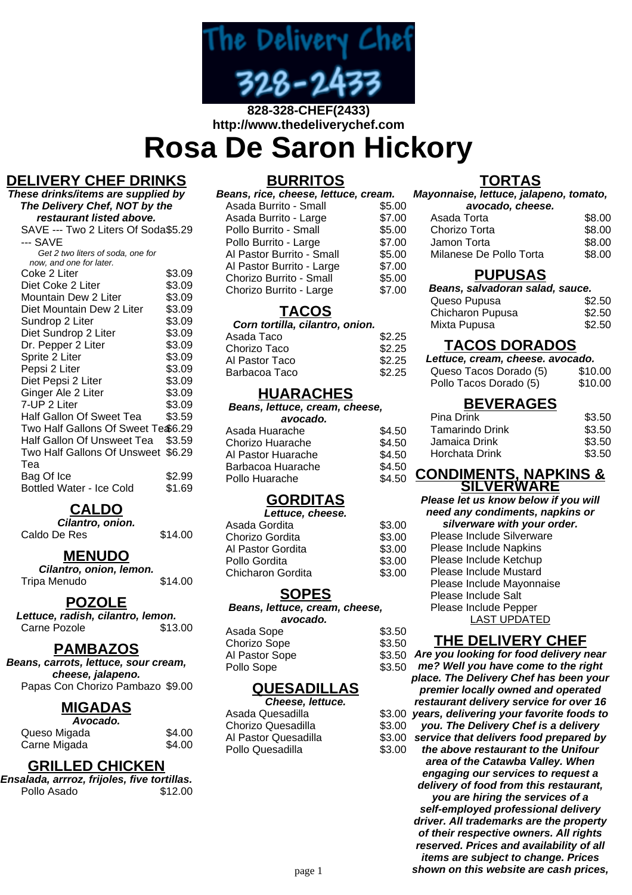

# **828-328-CHEF(2433) http://www.thedeliverychef.com**

**Rosa De Saron Hickory**

# **DELIVERY CHEF DRINKS**

**These drinks/items are supplied by The Delivery Chef, NOT by the restaurant listed above.** SAVE --- Two 2 Liters Of Soda \$5.29 --- SAVE Get 2 two liters of soda, one for now, and one for later. Coke 2 Liter \$3.09<br>Diet Coke 2 Liter \$3.09 Diet Coke 2 Liter \$3.09<br>Mountain Dew 2 Liter \$3.09 Mountain Dew 2 Liter \$3.09<br>Diet Mountain Dew 2 Liter \$3.09 Diet Mountain Dew 2 Liter \$3.09<br>Sundrop 2 Liter \$3.09 Sundrop 2 Liter Diet Sundrop 2 Liter \$3.09 Dr. Pepper 2 Liter \$3.09 Sprite 2 Liter \$3.09 Pepsi 2 Liter \$3.09 Diet Pepsi 2 Liter \$3.09 Ginger Ale 2 Liter \$3.09 7-UP 2 Liter \$3.09 Half Gallon Of Sweet Tea \$3.59 Two Half Gallons Of Sweet Te \$6.29 Half Gallon Of Unsweet Tea \$3.59 Two Half Gallons Of Unsweet \$6.29 Tea Bag Of Ice \$2.99 Bottled Water - Ice Cold \$1.69

# **CALDO**

**Cilantro, onion.** Caldo De Res \$14.00

#### **MENUDO**

**Cilantro, onion, lemon.** Tripa Menudo \$14.00

#### **POZOLE**

**Lettuce, radish, cilantro, lemon.** Carne Pozole \$13.00

#### **PAMBAZOS**

**Beans, carrots, lettuce, sour cream, cheese, jalapeno.** Papas Con Chorizo Pambazo \$9.00

#### **MIGADAS**

| Avocado.     |        |
|--------------|--------|
| Queso Migada | \$4.00 |
| Carne Migada | \$4.00 |

#### **GRILLED CHICKEN**

| Ensalada, arrroz, frijoles, five tortillas. |         |
|---------------------------------------------|---------|
| Pollo Asado                                 | \$12.00 |

#### **BURRITOS**

| Beans, rice, cheese, lettuce, cream. |        |  |  |
|--------------------------------------|--------|--|--|
| Asada Burrito - Small                | \$5.00 |  |  |
| Asada Burrito - Large                | \$7.00 |  |  |
| Pollo Burrito - Small                | \$5.00 |  |  |
| Pollo Burrito - Large                | \$7.00 |  |  |
| Al Pastor Burrito - Small            | \$5.00 |  |  |
| Al Pastor Burrito - Large            | \$7.00 |  |  |
| Chorizo Burrito - Small              | \$5.00 |  |  |
| Chorizo Burrito - Large              | \$7.00 |  |  |

### **TACOS**

#### **Corn tortilla, cilantro, onion.** Asada Taco  $$2.25$ Chorizo Taco \$2.25 Al Pastor Taco \$2.25 Barbacoa Taco \$2.25

### **HUARACHES**

| Beans, lettuce, cream, cheese, |        |
|--------------------------------|--------|
| avocado.                       |        |
| Asada Huarache                 | \$4.50 |
| Chorizo Huarache               | \$4.50 |
| Al Pastor Huarache             | \$4.50 |
| Barbacoa Huarache              | \$4.50 |
| Pollo Huarache                 | \$4.50 |

## **GORDITAS**

**Lettuce, cheese.**

| Asada Gordita     | \$3.00 |
|-------------------|--------|
| Chorizo Gordita   | \$3.00 |
| Al Pastor Gordita | \$3.00 |
| Pollo Gordita     | \$3.00 |
| Chicharon Gordita | \$3.00 |
|                   |        |

#### **SOPES**

**Beans, lettuce, cream, cheese, avocado.**

| Asada Sope     | \$3.50 |
|----------------|--------|
| Chorizo Sope   | \$3.50 |
| Al Pastor Sope | \$3.50 |
| Pollo Sope     | \$3.50 |
|                |        |

#### **QUESADILLAS**

| Cheese. lettuce.     |        | restaurant delivery service for over 16         |
|----------------------|--------|-------------------------------------------------|
| Asada Quesadilla     |        | \$3.00 years, delivering your favorite foods to |
| Chorizo Quesadilla   |        | \$3.00 you. The Delivery Chef is a delivery     |
| Al Pastor Quesadilla |        | \$3.00 service that delivers food prepared by   |
| Pollo Quesadilla     | \$3.00 | the above restaurant to the Unifour             |
|                      |        |                                                 |

# **TORTAS**

**Mayonnaise, lettuce, jalapeno, tomato, avocado, cheese.**

| avoudo, oncese.         |        |
|-------------------------|--------|
| Asada Torta             | \$8.00 |
| Chorizo Torta           | \$8.00 |
| Jamon Torta             | \$8.00 |
| Milanese De Pollo Torta | \$8.00 |
|                         |        |

#### **PUPUSAS**

| Beans, salvadoran salad, sauce. |        |  |
|---------------------------------|--------|--|
| Queso Pupusa                    | \$2.50 |  |
| Chicharon Pupusa                | \$2.50 |  |
| Mixta Pupusa                    | \$2.50 |  |

# **TACOS DORADOS**

| Lettuce, cream, cheese. avocado. |         |
|----------------------------------|---------|
| Queso Tacos Dorado (5)           | \$10.00 |
| Pollo Tacos Dorado (5)           | \$10.00 |

# **BEVERAGES**

| \$3.50 |
|--------|
| \$3.50 |
| \$3.50 |
| \$3.50 |
|        |

#### **CONDIMENTS, NAPKINS & SILVERWARE**

**Please let us know below if you will need any condiments, napkins or silverware with your order.**

| siiverware with your orde.<br>Please Include Silverware<br>Please Include Napkins<br>Please Include Ketchup<br>Please Include Mustard<br>Please Include Mayonnaise<br><b>Please Include Salt</b><br>Please Include Pepper<br><b>LAST UPDATED</b> |
|--------------------------------------------------------------------------------------------------------------------------------------------------------------------------------------------------------------------------------------------------|

## **THE DELIVERY CHEF**

**Are you looking for food delivery near**

**me? Well you have come to the right place. The Delivery Chef has been your premier locally owned and operated restaurant delivery service for over 16**

**the above restaurant to the Unifour area of the Catawba Valley. When engaging our services to request a delivery of food from this restaurant, you are hiring the services of a self-employed professional delivery driver. All trademarks are the property of their respective owners. All rights reserved. Prices and availability of all items are subject to change. Prices** page 1 **shown on this website are cash prices,**